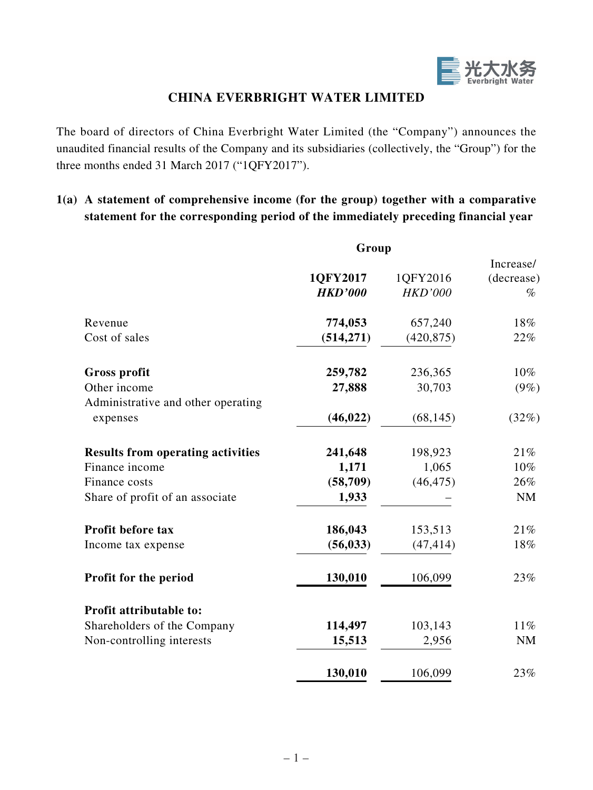

## **CHINA EVERBRIGHT WATER LIMITED**

The board of directors of China Everbright Water Limited (the "Company") announces the unaudited financial results of the Company and its subsidiaries (collectively, the "Group") for the three months ended 31 March 2017 ("1QFY2017").

## **1(a) A statement of comprehensive income (for the group) together with a comparative statement for the corresponding period of the immediately preceding financial year**

|                                                | Group          |                |            |
|------------------------------------------------|----------------|----------------|------------|
|                                                |                |                | Increase/  |
|                                                | 1QFY2017       | 1QFY2016       | (decrease) |
|                                                | <b>HKD'000</b> | <b>HKD'000</b> | $\%$       |
| Revenue                                        | 774,053        | 657,240        | 18%        |
| Cost of sales                                  | (514, 271)     | (420, 875)     | 22%        |
| <b>Gross profit</b>                            | 259,782        | 236,365        | 10%        |
| Other income                                   | 27,888         | 30,703         | $(9\%)$    |
| Administrative and other operating<br>expenses | (46, 022)      | (68, 145)      | (32%)      |
| <b>Results from operating activities</b>       | 241,648        | 198,923        | 21%        |
| Finance income                                 | 1,171          | 1,065          | 10%        |
| Finance costs                                  | (58, 709)      | (46, 475)      | 26%        |
| Share of profit of an associate                | 1,933          |                | NM         |
| Profit before tax                              | 186,043        | 153,513        | 21%        |
| Income tax expense                             | (56, 033)      | (47, 414)      | 18%        |
| Profit for the period                          | 130,010        | 106,099        | 23%        |
| Profit attributable to:                        |                |                |            |
| Shareholders of the Company                    | 114,497        | 103,143        | $11\%$     |
| Non-controlling interests                      | 15,513         | 2,956          | NM         |
|                                                | 130,010        | 106,099        | 23%        |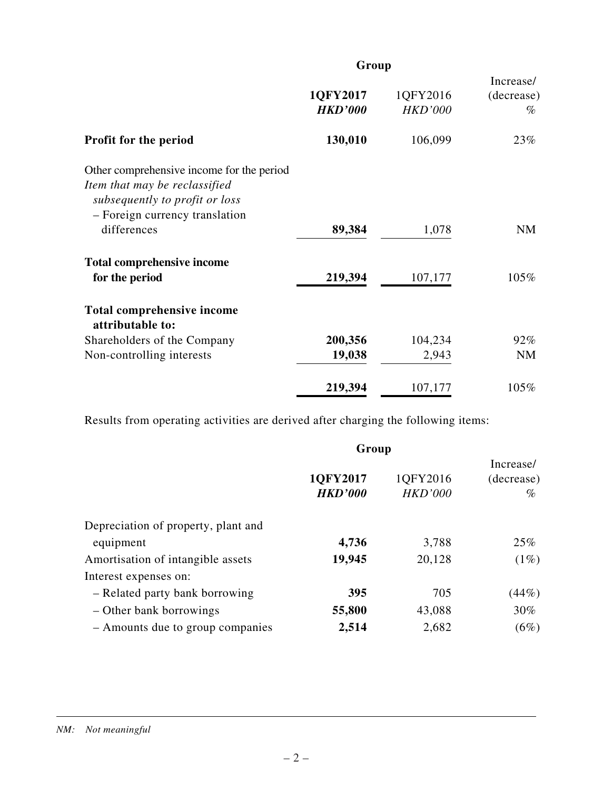|                                                                                                                                                | Group                      |                            |                                 |  |
|------------------------------------------------------------------------------------------------------------------------------------------------|----------------------------|----------------------------|---------------------------------|--|
|                                                                                                                                                | 1QFY2017<br><b>HKD'000</b> | 1QFY2016<br><b>HKD'000</b> | Increase/<br>(decrease)<br>$\%$ |  |
| <b>Profit for the period</b>                                                                                                                   | 130,010                    | 106,099                    | 23%                             |  |
| Other comprehensive income for the period<br>Item that may be reclassified<br>subsequently to profit or loss<br>- Foreign currency translation |                            |                            |                                 |  |
| differences                                                                                                                                    | 89,384                     | 1,078                      | <b>NM</b>                       |  |
| <b>Total comprehensive income</b>                                                                                                              | 219,394                    | 107,177                    | 105%                            |  |
| for the period                                                                                                                                 |                            |                            |                                 |  |
| <b>Total comprehensive income</b><br>attributable to:                                                                                          |                            |                            |                                 |  |
| Shareholders of the Company                                                                                                                    | 200,356                    | 104,234                    | 92%                             |  |
| Non-controlling interests                                                                                                                      | 19,038                     | 2,943                      | <b>NM</b>                       |  |
|                                                                                                                                                | 219,394                    | 107,177                    | 105%                            |  |

Results from operating activities are derived after charging the following items:

|                                     | Group                      |                            |                                 |  |
|-------------------------------------|----------------------------|----------------------------|---------------------------------|--|
|                                     | 1QFY2017<br><b>HKD'000</b> | 1QFY2016<br><b>HKD'000</b> | Increase/<br>(decrease)<br>$\%$ |  |
| Depreciation of property, plant and |                            |                            |                                 |  |
| equipment                           | 4,736                      | 3,788                      | 25%                             |  |
| Amortisation of intangible assets   | 19,945                     | 20,128                     | $(1\%)$                         |  |
| Interest expenses on:               |                            |                            |                                 |  |
| - Related party bank borrowing      | 395                        | 705                        | (44%)                           |  |
| - Other bank borrowings             | 55,800                     | 43,088                     | 30%                             |  |
| - Amounts due to group companies    | 2,514                      | 2,682                      | $(6\%)$                         |  |

#### *NM: Not meaningful*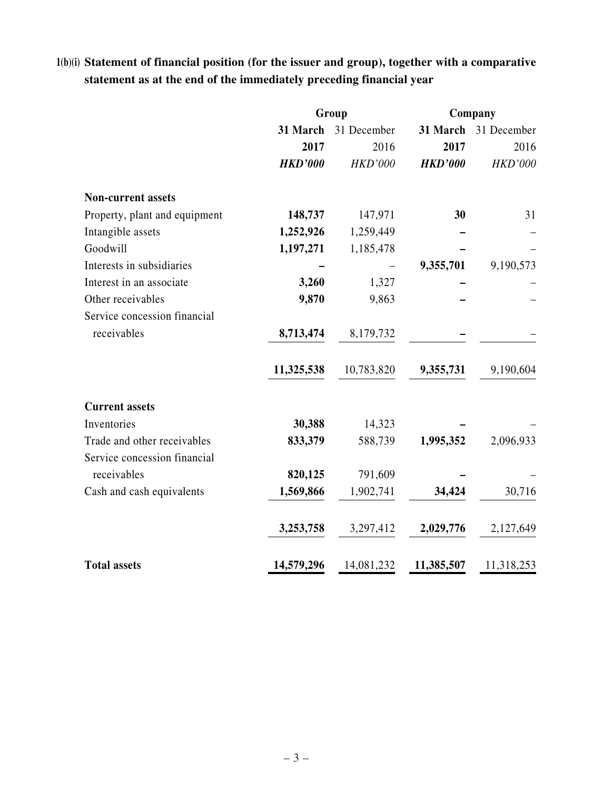# **1(b)(i) Statement of financial position (for the issuer and group), together with a comparative statement as at the end of the immediately preceding financial year**

|                               | Group          |                |                | Company              |  |
|-------------------------------|----------------|----------------|----------------|----------------------|--|
|                               | 31 March       | 31 December    |                | 31 March 31 December |  |
|                               | 2017           | 2016           | 2017           | 2016                 |  |
|                               | <b>HKD'000</b> | <b>HKD'000</b> | <b>HKD'000</b> | <b>HKD'000</b>       |  |
| <b>Non-current assets</b>     |                |                |                |                      |  |
| Property, plant and equipment | 148,737        | 147,971        | 30             | 31                   |  |
| Intangible assets             | 1,252,926      | 1,259,449      |                |                      |  |
| Goodwill                      | 1,197,271      | 1,185,478      |                |                      |  |
| Interests in subsidiaries     |                |                | 9,355,701      | 9,190,573            |  |
| Interest in an associate      | 3,260          | 1,327          |                |                      |  |
| Other receivables             | 9,870          | 9,863          |                |                      |  |
| Service concession financial  |                |                |                |                      |  |
| receivables                   | 8,713,474      | 8,179,732      |                |                      |  |
|                               | 11,325,538     | 10,783,820     | 9,355,731      | 9,190,604            |  |
| <b>Current assets</b>         |                |                |                |                      |  |
| Inventories                   | 30,388         | 14,323         |                |                      |  |
| Trade and other receivables   | 833,379        | 588,739        | 1,995,352      | 2,096,933            |  |
| Service concession financial  |                |                |                |                      |  |
| receivables                   | 820,125        | 791,609        |                |                      |  |
| Cash and cash equivalents     | 1,569,866      | 1,902,741      | 34,424         | 30,716               |  |
|                               | 3,253,758      | 3,297,412      | 2,029,776      | 2,127,649            |  |
| <b>Total assets</b>           | 14,579,296     | 14,081,232     | 11,385,507     | 11,318,253           |  |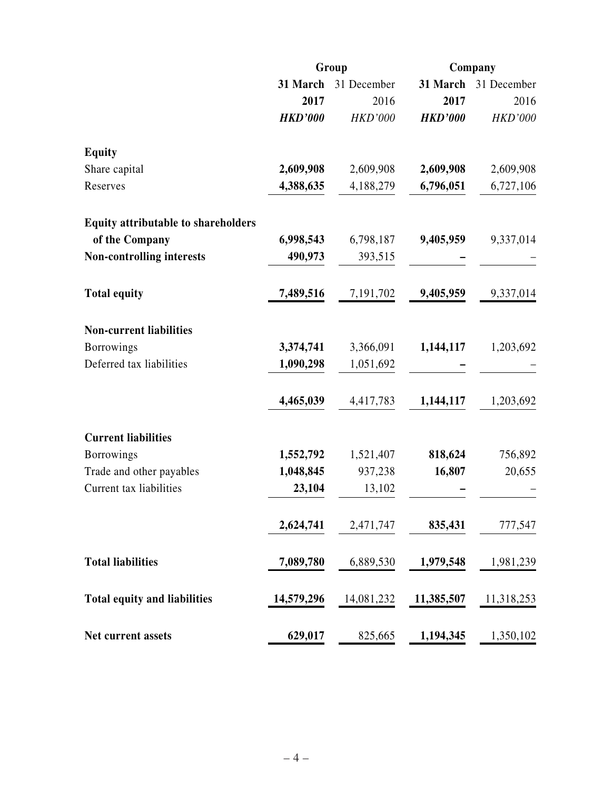|                                            |                | Group                | Company        |                |  |
|--------------------------------------------|----------------|----------------------|----------------|----------------|--|
|                                            |                | 31 March 31 December | 31 March       | 31 December    |  |
|                                            | 2017           | 2016                 | 2017           | 2016           |  |
|                                            | <b>HKD'000</b> | <b>HKD'000</b>       | <b>HKD'000</b> | <b>HKD'000</b> |  |
| <b>Equity</b>                              |                |                      |                |                |  |
| Share capital                              | 2,609,908      | 2,609,908            | 2,609,908      | 2,609,908      |  |
| Reserves                                   | 4,388,635      | 4,188,279            | 6,796,051      | 6,727,106      |  |
| <b>Equity attributable to shareholders</b> |                |                      |                |                |  |
| of the Company                             | 6,998,543      | 6,798,187            | 9,405,959      | 9,337,014      |  |
| <b>Non-controlling interests</b>           | 490,973        | 393,515              |                |                |  |
| <b>Total equity</b>                        | 7,489,516      | 7,191,702            | 9,405,959      | 9,337,014      |  |
| <b>Non-current liabilities</b>             |                |                      |                |                |  |
| <b>Borrowings</b>                          | 3,374,741      | 3,366,091            | 1,144,117      | 1,203,692      |  |
| Deferred tax liabilities                   | 1,090,298      | 1,051,692            |                |                |  |
|                                            | 4,465,039      | 4,417,783            | 1,144,117      | 1,203,692      |  |
| <b>Current liabilities</b>                 |                |                      |                |                |  |
| <b>Borrowings</b>                          | 1,552,792      | 1,521,407            | 818,624        | 756,892        |  |
| Trade and other payables                   | 1,048,845      | 937,238              | 16,807         | 20,655         |  |
| Current tax liabilities                    | 23,104         | 13,102               |                |                |  |
|                                            | 2,624,741      | 2,471,747            | 835,431        | 777,547        |  |
| <b>Total liabilities</b>                   | 7,089,780      | 6,889,530            | 1,979,548      | 1,981,239      |  |
| <b>Total equity and liabilities</b>        | 14,579,296     | 14,081,232           | 11,385,507     | 11,318,253     |  |
| Net current assets                         | 629,017        | 825,665              | 1,194,345      | 1,350,102      |  |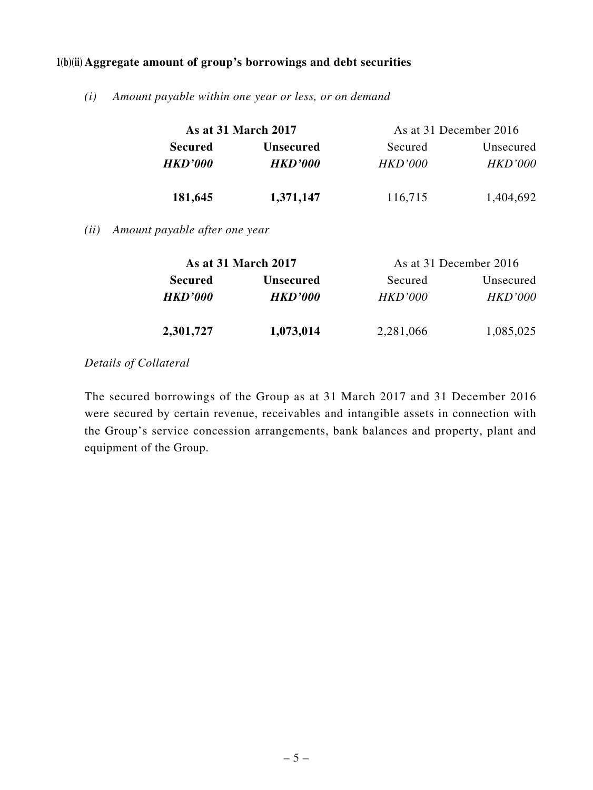#### **1(b)(ii) Aggregate amount of group's borrowings and debt securities**

*(i) Amount payable within one year or less, or on demand*

|                | <b>As at 31 March 2017</b> |                | As at 31 December 2016 |
|----------------|----------------------------|----------------|------------------------|
| <b>Secured</b> | <b>Unsecured</b>           | Secured        | Unsecured              |
| <b>HKD'000</b> | <i><b>HKD'000</b></i>      | <b>HKD'000</b> | <i>HKD'000</i>         |
| 181,645        | 1,371,147                  | 116,715        | 1,404,692              |

*(ii) Amount payable after one year*

|                | <b>As at 31 March 2017</b> | As at 31 December 2016 |                |
|----------------|----------------------------|------------------------|----------------|
| <b>Secured</b> | <b>Unsecured</b>           | Secured                | Unsecured      |
| <b>HKD'000</b> | <b>HKD'000</b>             | HKD'000                | <b>HKD'000</b> |
| 2,301,727      | 1,073,014                  | 2,281,066              | 1,085,025      |

### *Details of Collateral*

The secured borrowings of the Group as at 31 March 2017 and 31 December 2016 were secured by certain revenue, receivables and intangible assets in connection with the Group's service concession arrangements, bank balances and property, plant and equipment of the Group.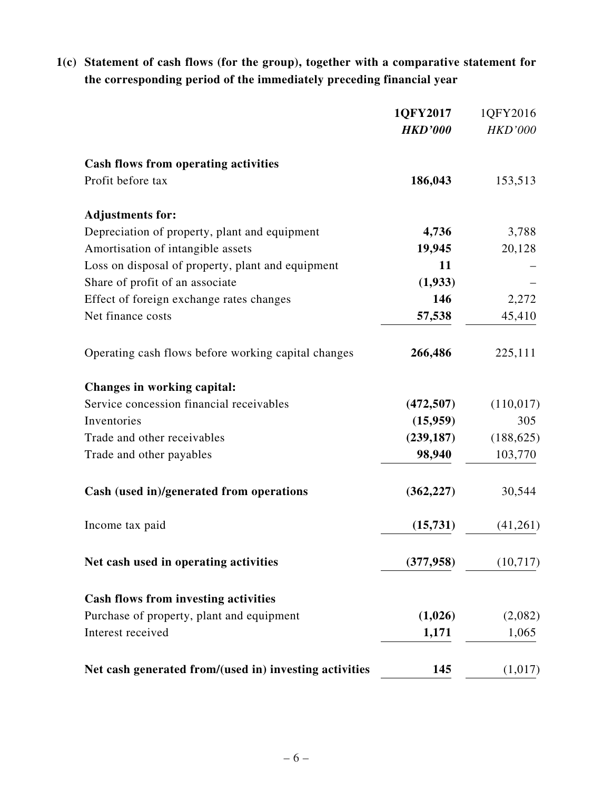# **1(c) Statement of cash flows (for the group), together with a comparative statement for the corresponding period of the immediately preceding financial year**

|                                                        | 1QFY2017       | 1QFY2016       |
|--------------------------------------------------------|----------------|----------------|
|                                                        | <b>HKD'000</b> | <b>HKD'000</b> |
| <b>Cash flows from operating activities</b>            |                |                |
| Profit before tax                                      | 186,043        | 153,513        |
| <b>Adjustments for:</b>                                |                |                |
| Depreciation of property, plant and equipment          | 4,736          | 3,788          |
| Amortisation of intangible assets                      | 19,945         | 20,128         |
| Loss on disposal of property, plant and equipment      | 11             |                |
| Share of profit of an associate                        | (1,933)        |                |
| Effect of foreign exchange rates changes               | 146            | 2,272          |
| Net finance costs                                      | 57,538         | 45,410         |
| Operating cash flows before working capital changes    | 266,486        | 225,111        |
| Changes in working capital:                            |                |                |
| Service concession financial receivables               | (472, 507)     | (110, 017)     |
| Inventories                                            | (15,959)       | 305            |
| Trade and other receivables                            | (239, 187)     | (188, 625)     |
| Trade and other payables                               | 98,940         | 103,770        |
| Cash (used in)/generated from operations               | (362, 227)     | 30,544         |
| Income tax paid                                        | (15,731)       | (41,261)       |
| Net cash used in operating activities                  | (377, 958)     | (10, 717)      |
| <b>Cash flows from investing activities</b>            |                |                |
| Purchase of property, plant and equipment              | (1,026)        | (2,082)        |
| Interest received                                      | 1,171          | 1,065          |
| Net cash generated from/(used in) investing activities | 145            | (1,017)        |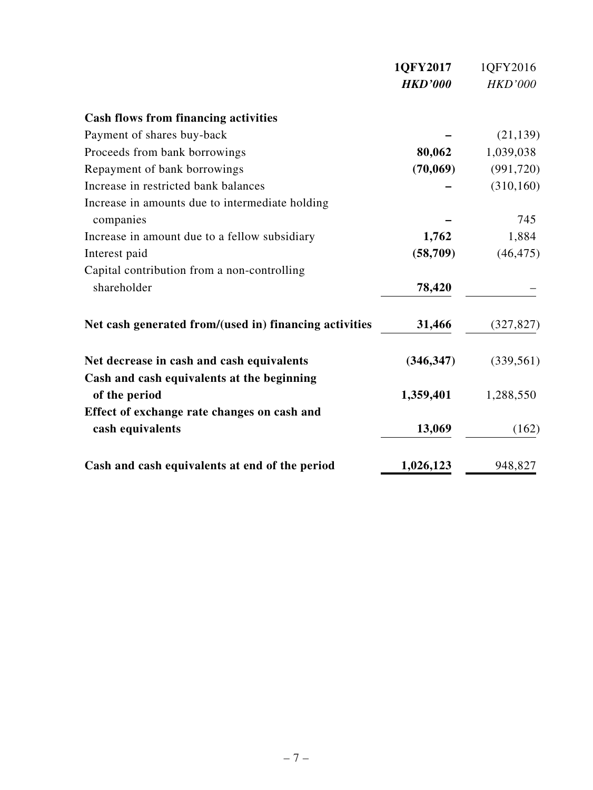|                                                             | 1QFY2017       | 1QFY2016       |
|-------------------------------------------------------------|----------------|----------------|
|                                                             | <b>HKD'000</b> | <b>HKD'000</b> |
| <b>Cash flows from financing activities</b>                 |                |                |
| Payment of shares buy-back                                  |                | (21, 139)      |
| Proceeds from bank borrowings                               | 80,062         | 1,039,038      |
| Repayment of bank borrowings                                | (70,069)       | (991, 720)     |
| Increase in restricted bank balances                        |                | (310, 160)     |
| Increase in amounts due to intermediate holding             |                |                |
| companies                                                   |                | 745            |
| Increase in amount due to a fellow subsidiary               | 1,762          | 1,884          |
| Interest paid                                               | (58, 709)      | (46, 475)      |
| Capital contribution from a non-controlling                 |                |                |
| shareholder                                                 | 78,420         |                |
| Net cash generated from/(used in) financing activities      | 31,466         | (327, 827)     |
| Net decrease in cash and cash equivalents                   | (346, 347)     | (339, 561)     |
| Cash and cash equivalents at the beginning<br>of the period | 1,359,401      | 1,288,550      |
| Effect of exchange rate changes on cash and                 |                |                |
| cash equivalents                                            | 13,069         | (162)          |
| Cash and cash equivalents at end of the period              | 1,026,123      | 948,827        |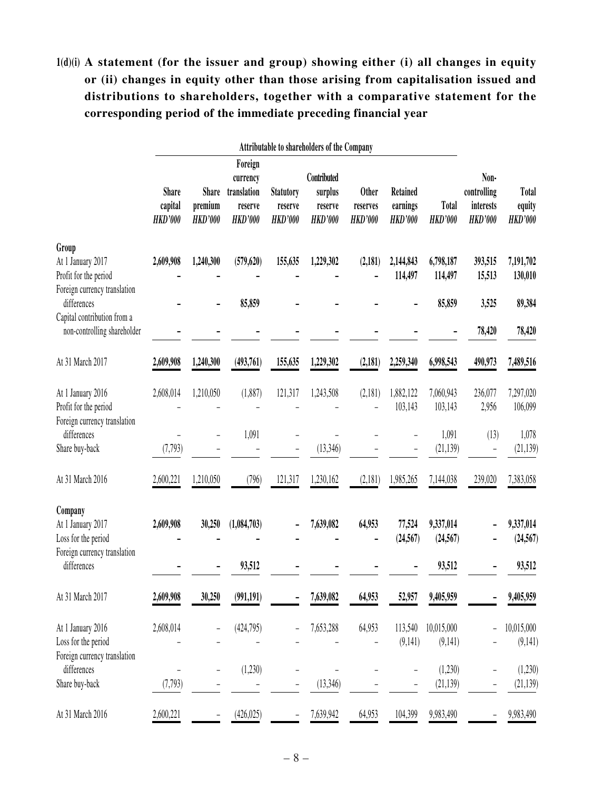# **1(d)(i) A statement (for the issuer and group) showing either (i) all changes in equity or (ii) changes in equity other than those arising from capitalisation issued and distributions to shareholders, together with a comparative statement for the corresponding period of the immediate preceding financial year**

|                                                                                                    | Attributable to shareholders of the Company |                                           |                                                                 |                                               |                                                     |                                            |                                               |                                  |                                                    |                                   |
|----------------------------------------------------------------------------------------------------|---------------------------------------------|-------------------------------------------|-----------------------------------------------------------------|-----------------------------------------------|-----------------------------------------------------|--------------------------------------------|-----------------------------------------------|----------------------------------|----------------------------------------------------|-----------------------------------|
|                                                                                                    | <b>Share</b><br>capital<br><b>HKD'000</b>   | <b>Share</b><br>premium<br><b>HKD'000</b> | Foreign<br>currency<br>translation<br>reserve<br><b>HKD'000</b> | <b>Statutory</b><br>reserve<br><b>HKD'000</b> | Contributed<br>surplus<br>reserve<br><b>HKD'000</b> | <b>Other</b><br>reserves<br><b>HKD'000</b> | <b>Retained</b><br>earnings<br><b>HKD'000</b> | <b>Total</b><br><b>HKD'000</b>   | Non-<br>controlling<br>interests<br><b>HKD'000</b> | Total<br>equity<br><b>HKD'000</b> |
| Group<br>At 1 January 2017<br>Profit for the period                                                | 2,609,908                                   | 1,240,300                                 | (579, 620)                                                      | 155,635                                       | 1,229,302                                           | (2,181)                                    | 2,144,843<br>114,497                          | 6,798,187<br>114,497             | 393,515<br>15,513                                  | 7,191,702<br>130,010              |
| Foreign currency translation<br>differences                                                        |                                             |                                           | 85,859                                                          |                                               |                                                     |                                            |                                               | 85,859                           | 3,525                                              | 89,384                            |
| Capital contribution from a<br>non-controlling shareholder                                         |                                             |                                           |                                                                 |                                               |                                                     |                                            |                                               |                                  | 78,420                                             | 78,420                            |
| At 31 March 2017                                                                                   | 2,609,908                                   | 1,240,300                                 | (493,761)                                                       | 155,635                                       | 1,229,302                                           | (2,181)                                    | 2,259,340                                     | 6,998,543                        | 490,973                                            | 7,489,516                         |
| At 1 January 2016<br>Profit for the period<br>Foreign currency translation                         | 2,608,014                                   | 1,210,050                                 | (1,887)                                                         | 121,317                                       | 1,243,508                                           | (2,181)                                    | 1,882,122<br>103,143                          | 7,060,943<br>103,143             | 236,077<br>2,956                                   | 7,297,020<br>106,099              |
| differences<br>Share buy-back                                                                      | (7, 793)                                    |                                           | 1,091                                                           |                                               | (13, 346)                                           |                                            |                                               | 1,091<br>(21, 139)               | (13)<br>-                                          | 1,078<br>(21, 139)                |
| At 31 March 2016                                                                                   | 2,600,221                                   | 1,210,050                                 | (796)                                                           | 121,317                                       | 1,230,162                                           | (2,181)                                    | 1,985,265                                     | 7,144,038                        | 239,020                                            | 7,383,058                         |
| Company<br>At 1 January 2017<br>Loss for the period<br>Foreign currency translation<br>differences | 2,609,908                                   | 30,250                                    | (1,084,703)<br>93,512                                           |                                               | 7,639,082                                           | 64,953                                     | 77,524<br>(24, 567)                           | 9,337,014<br>(24, 567)<br>93,512 |                                                    | 9,337,014<br>(24, 567)<br>93,512  |
| At 31 March 2017                                                                                   | 2,609,908                                   | 30,250                                    | (991, 191)                                                      |                                               | 7,639,082                                           | 64,953                                     | 52,957                                        | 9,405,959                        |                                                    | 9,405,959                         |
| At 1 January 2016<br>Loss for the period<br>Foreign currency translation                           | 2,608,014                                   |                                           | (424,795)                                                       |                                               | 7,653,288                                           | 64,953                                     | 113,540<br>(9,141)                            | 10,015,000<br>(9,141)            |                                                    | 10,015,000<br>(9,141)             |
| differences<br>Share buy-back                                                                      | $\qquad \qquad -$<br>(7, 793)               | $\overline{\phantom{0}}$                  | (1,230)                                                         | -                                             | (13, 346)                                           |                                            | $\qquad \qquad -$                             | (1,230)<br>(21, 139)             | $\overline{\phantom{0}}$<br>÷                      | (1,230)<br>(21, 139)              |
| At 31 March 2016                                                                                   | 2,600,221                                   |                                           | (426, 025)                                                      |                                               | 7,639,942                                           | 64,953                                     | 104,399                                       | 9,983,490                        |                                                    | 9,983,490                         |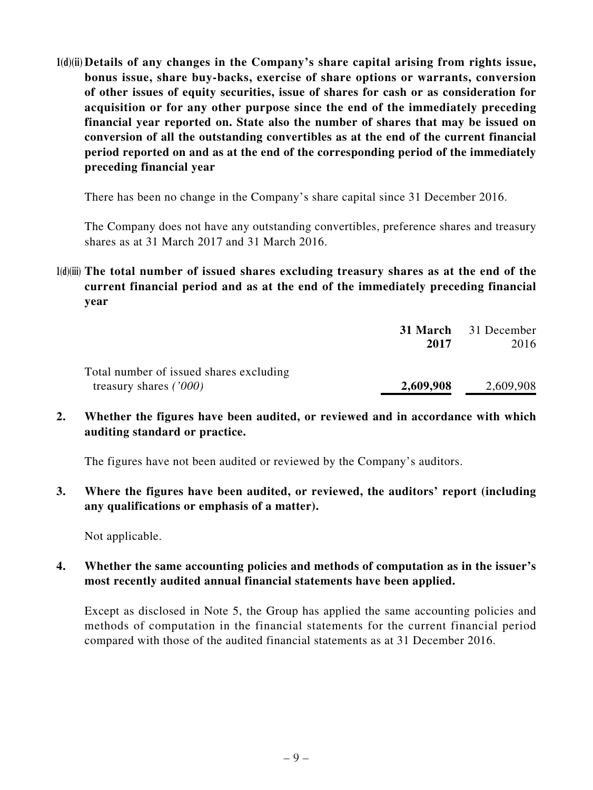**1(d)(ii) Details of any changes in the Company's share capital arising from rights issue, bonus issue, share buy-backs, exercise of share options or warrants, conversion of other issues of equity securities, issue of shares for cash or as consideration for acquisition or for any other purpose since the end of the immediately preceding financial year reported on. State also the number of shares that may be issued on conversion of all the outstanding convertibles as at the end of the current financial period reported on and as at the end of the corresponding period of the immediately preceding financial year**

There has been no change in the Company's share capital since 31 December 2016.

The Company does not have any outstanding convertibles, preference shares and treasury shares as at 31 March 2017 and 31 March 2016.

**1(d)(iii) The total number of issued shares excluding treasury shares as at the end of the current financial period and as at the end of the immediately preceding financial year**

|                                         |           | <b>31 March</b> 31 December |
|-----------------------------------------|-----------|-----------------------------|
|                                         | 2017      | 2016                        |
| Total number of issued shares excluding |           |                             |
| treasury shares $(7000)$                | 2,609,908 | 2,609,908                   |

**2. Whether the figures have been audited, or reviewed and in accordance with which auditing standard or practice.**

The figures have not been audited or reviewed by the Company's auditors.

**3. Where the figures have been audited, or reviewed, the auditors' report (including any qualifications or emphasis of a matter).**

Not applicable.

**4. Whether the same accounting policies and methods of computation as in the issuer's most recently audited annual financial statements have been applied.**

Except as disclosed in Note 5, the Group has applied the same accounting policies and methods of computation in the financial statements for the current financial period compared with those of the audited financial statements as at 31 December 2016.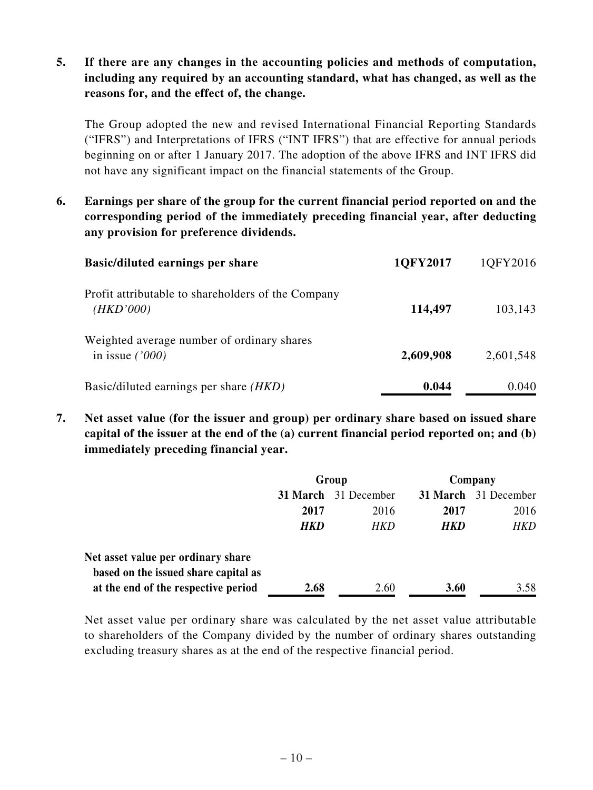### **5. If there are any changes in the accounting policies and methods of computation, including any required by an accounting standard, what has changed, as well as the reasons for, and the effect of, the change.**

The Group adopted the new and revised International Financial Reporting Standards ("IFRS") and Interpretations of IFRS ("INT IFRS") that are effective for annual periods beginning on or after 1 January 2017. The adoption of the above IFRS and INT IFRS did not have any significant impact on the financial statements of the Group.

**6. Earnings per share of the group for the current financial period reported on and the corresponding period of the immediately preceding financial year, after deducting any provision for preference dividends.**

| <b>Basic/diluted earnings per share</b>                         | 1QFY2017  | 1QFY2016  |
|-----------------------------------------------------------------|-----------|-----------|
| Profit attributable to shareholders of the Company<br>(HKD'000) | 114,497   | 103,143   |
| Weighted average number of ordinary shares<br>in issue $('000)$ | 2,609,908 | 2,601,548 |
| Basic/diluted earnings per share (HKD)                          | 0.044     | 0.040     |

**7. Net asset value (for the issuer and group) per ordinary share based on issued share capital of the issuer at the end of the (a) current financial period reported on; and (b) immediately preceding financial year.**

|                                      | Group      |                             | Company    |                      |
|--------------------------------------|------------|-----------------------------|------------|----------------------|
|                                      |            | <b>31 March</b> 31 December |            | 31 March 31 December |
|                                      | 2017       | 2016                        | 2017       | 2016                 |
|                                      | <b>HKD</b> | HKD                         | <b>HKD</b> | <b>HKD</b>           |
| Net asset value per ordinary share   |            |                             |            |                      |
| based on the issued share capital as |            |                             |            |                      |
| at the end of the respective period  | 2.68       | 2.60                        | 3.60       | 3.58                 |

Net asset value per ordinary share was calculated by the net asset value attributable to shareholders of the Company divided by the number of ordinary shares outstanding excluding treasury shares as at the end of the respective financial period.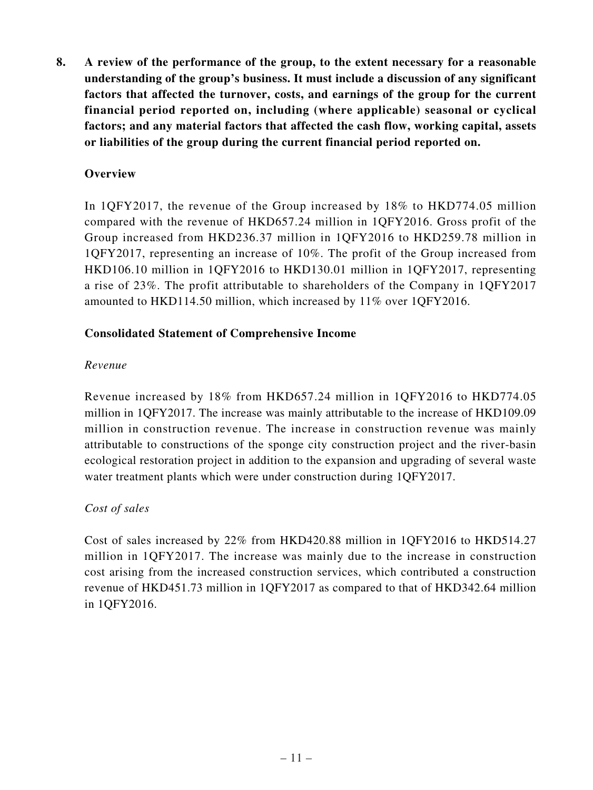**8. A review of the performance of the group, to the extent necessary for a reasonable understanding of the group's business. It must include a discussion of any significant factors that affected the turnover, costs, and earnings of the group for the current financial period reported on, including (where applicable) seasonal or cyclical factors; and any material factors that affected the cash flow, working capital, assets or liabilities of the group during the current financial period reported on.**

### **Overview**

In 1QFY2017, the revenue of the Group increased by 18% to HKD774.05 million compared with the revenue of HKD657.24 million in 1QFY2016. Gross profit of the Group increased from HKD236.37 million in 1QFY2016 to HKD259.78 million in 1QFY2017, representing an increase of 10%. The profit of the Group increased from HKD106.10 million in 1QFY2016 to HKD130.01 million in 1QFY2017, representing a rise of 23%. The profit attributable to shareholders of the Company in 1QFY2017 amounted to HKD114.50 million, which increased by 11% over 1QFY2016.

#### **Consolidated Statement of Comprehensive Income**

#### *Revenue*

Revenue increased by 18% from HKD657.24 million in 1QFY2016 to HKD774.05 million in 1QFY2017. The increase was mainly attributable to the increase of HKD109.09 million in construction revenue. The increase in construction revenue was mainly attributable to constructions of the sponge city construction project and the river-basin ecological restoration project in addition to the expansion and upgrading of several waste water treatment plants which were under construction during 1QFY2017.

#### *Cost of sales*

Cost of sales increased by 22% from HKD420.88 million in 1QFY2016 to HKD514.27 million in 1QFY2017. The increase was mainly due to the increase in construction cost arising from the increased construction services, which contributed a construction revenue of HKD451.73 million in 1QFY2017 as compared to that of HKD342.64 million in 1QFY2016.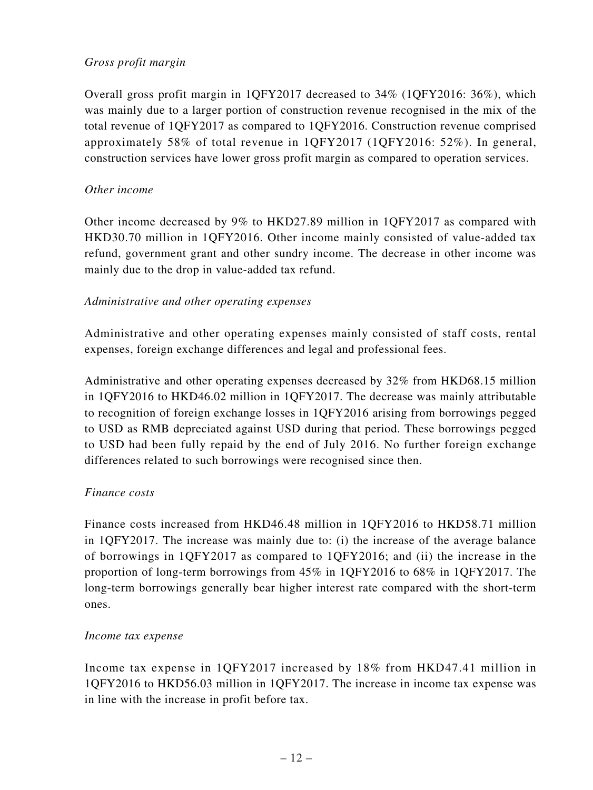### *Gross profit margin*

Overall gross profit margin in 1QFY2017 decreased to 34% (1QFY2016: 36%), which was mainly due to a larger portion of construction revenue recognised in the mix of the total revenue of 1QFY2017 as compared to 1QFY2016. Construction revenue comprised approximately 58% of total revenue in 1QFY2017 (1QFY2016: 52%). In general, construction services have lower gross profit margin as compared to operation services.

#### *Other income*

Other income decreased by 9% to HKD27.89 million in 1QFY2017 as compared with HKD30.70 million in 1QFY2016. Other income mainly consisted of value-added tax refund, government grant and other sundry income. The decrease in other income was mainly due to the drop in value-added tax refund.

#### *Administrative and other operating expenses*

Administrative and other operating expenses mainly consisted of staff costs, rental expenses, foreign exchange differences and legal and professional fees.

Administrative and other operating expenses decreased by 32% from HKD68.15 million in 1QFY2016 to HKD46.02 million in 1QFY2017. The decrease was mainly attributable to recognition of foreign exchange losses in 1QFY2016 arising from borrowings pegged to USD as RMB depreciated against USD during that period. These borrowings pegged to USD had been fully repaid by the end of July 2016. No further foreign exchange differences related to such borrowings were recognised since then.

#### *Finance costs*

Finance costs increased from HKD46.48 million in 1QFY2016 to HKD58.71 million in 1QFY2017. The increase was mainly due to: (i) the increase of the average balance of borrowings in 1QFY2017 as compared to 1QFY2016; and (ii) the increase in the proportion of long-term borrowings from 45% in 1QFY2016 to 68% in 1QFY2017. The long-term borrowings generally bear higher interest rate compared with the short-term ones.

#### *Income tax expense*

Income tax expense in 1QFY2017 increased by 18% from HKD47.41 million in 1QFY2016 to HKD56.03 million in 1QFY2017. The increase in income tax expense was in line with the increase in profit before tax.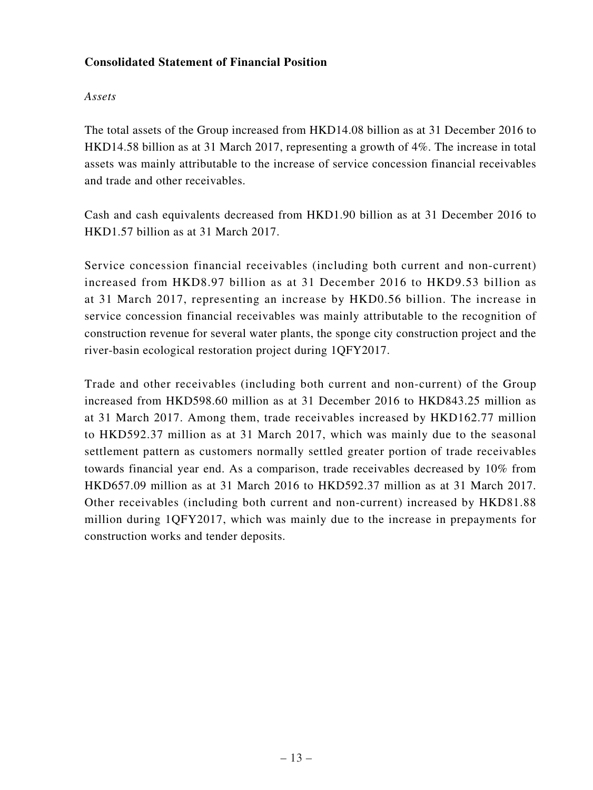### **Consolidated Statement of Financial Position**

### *Assets*

The total assets of the Group increased from HKD14.08 billion as at 31 December 2016 to HKD14.58 billion as at 31 March 2017, representing a growth of 4%. The increase in total assets was mainly attributable to the increase of service concession financial receivables and trade and other receivables.

Cash and cash equivalents decreased from HKD1.90 billion as at 31 December 2016 to HKD1.57 billion as at 31 March 2017.

Service concession financial receivables (including both current and non-current) increased from HKD8.97 billion as at 31 December 2016 to HKD9.53 billion as at 31 March 2017, representing an increase by HKD0.56 billion. The increase in service concession financial receivables was mainly attributable to the recognition of construction revenue for several water plants, the sponge city construction project and the river-basin ecological restoration project during 1QFY2017.

Trade and other receivables (including both current and non-current) of the Group increased from HKD598.60 million as at 31 December 2016 to HKD843.25 million as at 31 March 2017. Among them, trade receivables increased by HKD162.77 million to HKD592.37 million as at 31 March 2017, which was mainly due to the seasonal settlement pattern as customers normally settled greater portion of trade receivables towards financial year end. As a comparison, trade receivables decreased by 10% from HKD657.09 million as at 31 March 2016 to HKD592.37 million as at 31 March 2017. Other receivables (including both current and non-current) increased by HKD81.88 million during 1QFY2017, which was mainly due to the increase in prepayments for construction works and tender deposits.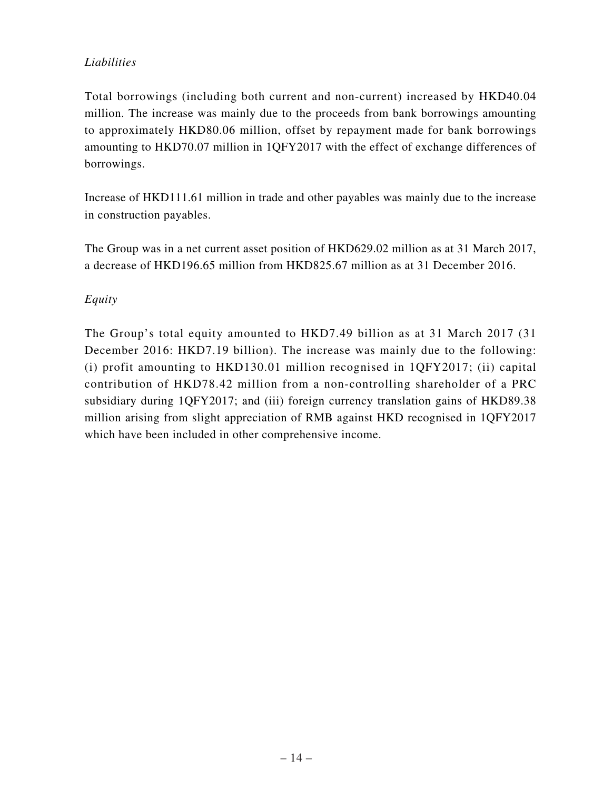## *Liabilities*

Total borrowings (including both current and non-current) increased by HKD40.04 million. The increase was mainly due to the proceeds from bank borrowings amounting to approximately HKD80.06 million, offset by repayment made for bank borrowings amounting to HKD70.07 million in 1QFY2017 with the effect of exchange differences of borrowings.

Increase of HKD111.61 million in trade and other payables was mainly due to the increase in construction payables.

The Group was in a net current asset position of HKD629.02 million as at 31 March 2017, a decrease of HKD196.65 million from HKD825.67 million as at 31 December 2016.

## *Equity*

The Group's total equity amounted to HKD7.49 billion as at 31 March 2017 (31 December 2016: HKD7.19 billion). The increase was mainly due to the following: (i) profit amounting to HKD130.01 million recognised in 1QFY2017; (ii) capital contribution of HKD78.42 million from a non-controlling shareholder of a PRC subsidiary during 1QFY2017; and (iii) foreign currency translation gains of HKD89.38 million arising from slight appreciation of RMB against HKD recognised in 1QFY2017 which have been included in other comprehensive income.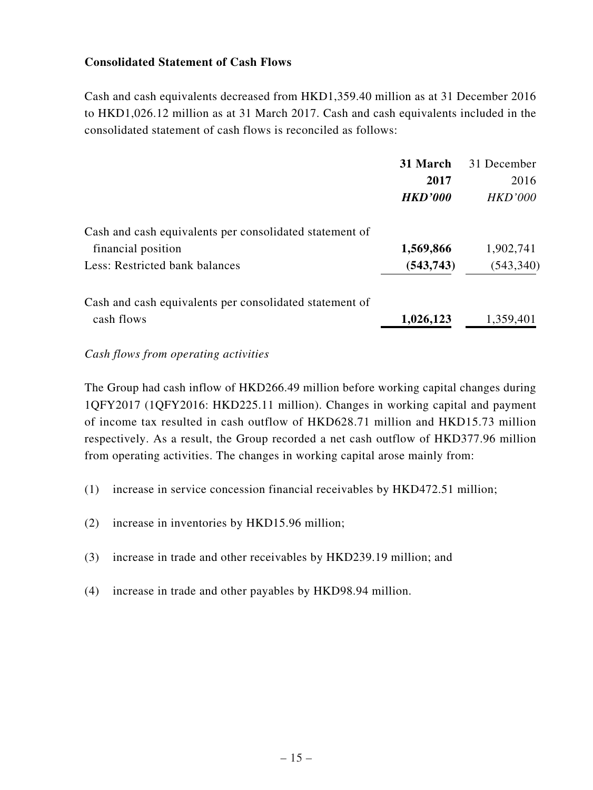### **Consolidated Statement of Cash Flows**

Cash and cash equivalents decreased from HKD1,359.40 million as at 31 December 2016 to HKD1,026.12 million as at 31 March 2017. Cash and cash equivalents included in the consolidated statement of cash flows is reconciled as follows:

|                                                         | 31 March       | 31 December    |
|---------------------------------------------------------|----------------|----------------|
|                                                         | 2017           | 2016           |
|                                                         | <b>HKD'000</b> | <b>HKD'000</b> |
| Cash and cash equivalents per consolidated statement of |                |                |
| financial position                                      | 1,569,866      | 1,902,741      |
| Less: Restricted bank balances                          | (543, 743)     | (543, 340)     |
| Cash and cash equivalents per consolidated statement of |                |                |
| cash flows                                              | 1,026,123      | 1,359,401      |

#### *Cash flows from operating activities*

The Group had cash inflow of HKD266.49 million before working capital changes during 1QFY2017 (1QFY2016: HKD225.11 million). Changes in working capital and payment of income tax resulted in cash outflow of HKD628.71 million and HKD15.73 million respectively. As a result, the Group recorded a net cash outflow of HKD377.96 million from operating activities. The changes in working capital arose mainly from:

- (1) increase in service concession financial receivables by HKD472.51 million;
- (2) increase in inventories by HKD15.96 million;
- (3) increase in trade and other receivables by HKD239.19 million; and
- (4) increase in trade and other payables by HKD98.94 million.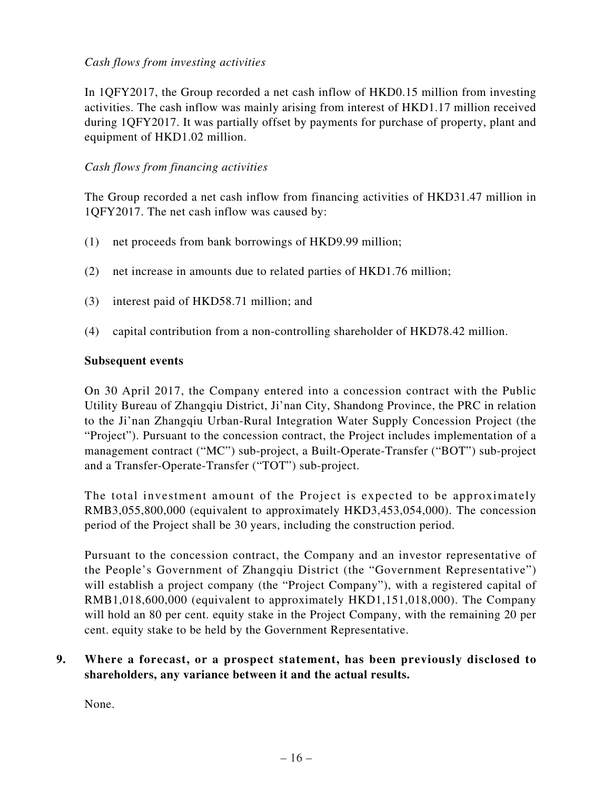### *Cash flows from investing activities*

In 1QFY2017, the Group recorded a net cash inflow of HKD0.15 million from investing activities. The cash inflow was mainly arising from interest of HKD1.17 million received during 1QFY2017. It was partially offset by payments for purchase of property, plant and equipment of HKD1.02 million.

### *Cash flows from financing activities*

The Group recorded a net cash inflow from financing activities of HKD31.47 million in 1QFY2017. The net cash inflow was caused by:

- (1) net proceeds from bank borrowings of HKD9.99 million;
- (2) net increase in amounts due to related parties of HKD1.76 million;
- (3) interest paid of HKD58.71 million; and
- (4) capital contribution from a non-controlling shareholder of HKD78.42 million.

#### **Subsequent events**

On 30 April 2017, the Company entered into a concession contract with the Public Utility Bureau of Zhangqiu District, Ji'nan City, Shandong Province, the PRC in relation to the Ji'nan Zhangqiu Urban-Rural Integration Water Supply Concession Project (the "Project"). Pursuant to the concession contract, the Project includes implementation of a management contract ("MC") sub-project, a Built-Operate-Transfer ("BOT") sub-project and a Transfer-Operate-Transfer ("TOT") sub-project.

The total investment amount of the Project is expected to be approximately RMB3,055,800,000 (equivalent to approximately HKD3,453,054,000). The concession period of the Project shall be 30 years, including the construction period.

Pursuant to the concession contract, the Company and an investor representative of the People's Government of Zhangqiu District (the "Government Representative") will establish a project company (the "Project Company"), with a registered capital of RMB1,018,600,000 (equivalent to approximately HKD1,151,018,000). The Company will hold an 80 per cent. equity stake in the Project Company, with the remaining 20 per cent. equity stake to be held by the Government Representative.

### **9. Where a forecast, or a prospect statement, has been previously disclosed to shareholders, any variance between it and the actual results.**

None.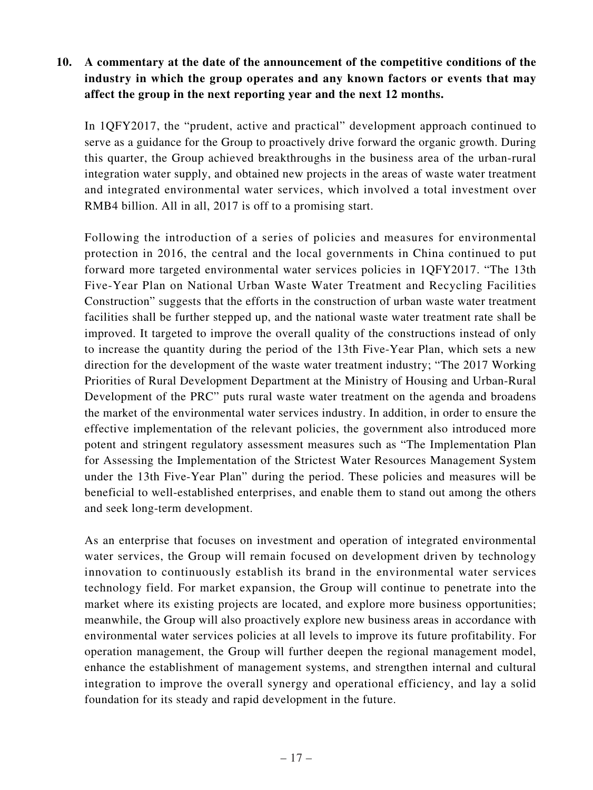## **10. A commentary at the date of the announcement of the competitive conditions of the industry in which the group operates and any known factors or events that may affect the group in the next reporting year and the next 12 months.**

In 1QFY2017, the "prudent, active and practical" development approach continued to serve as a guidance for the Group to proactively drive forward the organic growth. During this quarter, the Group achieved breakthroughs in the business area of the urban-rural integration water supply, and obtained new projects in the areas of waste water treatment and integrated environmental water services, which involved a total investment over RMB4 billion. All in all, 2017 is off to a promising start.

Following the introduction of a series of policies and measures for environmental protection in 2016, the central and the local governments in China continued to put forward more targeted environmental water services policies in 1QFY2017. "The 13th Five-Year Plan on National Urban Waste Water Treatment and Recycling Facilities Construction" suggests that the efforts in the construction of urban waste water treatment facilities shall be further stepped up, and the national waste water treatment rate shall be improved. It targeted to improve the overall quality of the constructions instead of only to increase the quantity during the period of the 13th Five-Year Plan, which sets a new direction for the development of the waste water treatment industry; "The 2017 Working Priorities of Rural Development Department at the Ministry of Housing and Urban-Rural Development of the PRC" puts rural waste water treatment on the agenda and broadens the market of the environmental water services industry. In addition, in order to ensure the effective implementation of the relevant policies, the government also introduced more potent and stringent regulatory assessment measures such as "The Implementation Plan for Assessing the Implementation of the Strictest Water Resources Management System under the 13th Five-Year Plan" during the period. These policies and measures will be beneficial to well-established enterprises, and enable them to stand out among the others and seek long-term development.

As an enterprise that focuses on investment and operation of integrated environmental water services, the Group will remain focused on development driven by technology innovation to continuously establish its brand in the environmental water services technology field. For market expansion, the Group will continue to penetrate into the market where its existing projects are located, and explore more business opportunities; meanwhile, the Group will also proactively explore new business areas in accordance with environmental water services policies at all levels to improve its future profitability. For operation management, the Group will further deepen the regional management model, enhance the establishment of management systems, and strengthen internal and cultural integration to improve the overall synergy and operational efficiency, and lay a solid foundation for its steady and rapid development in the future.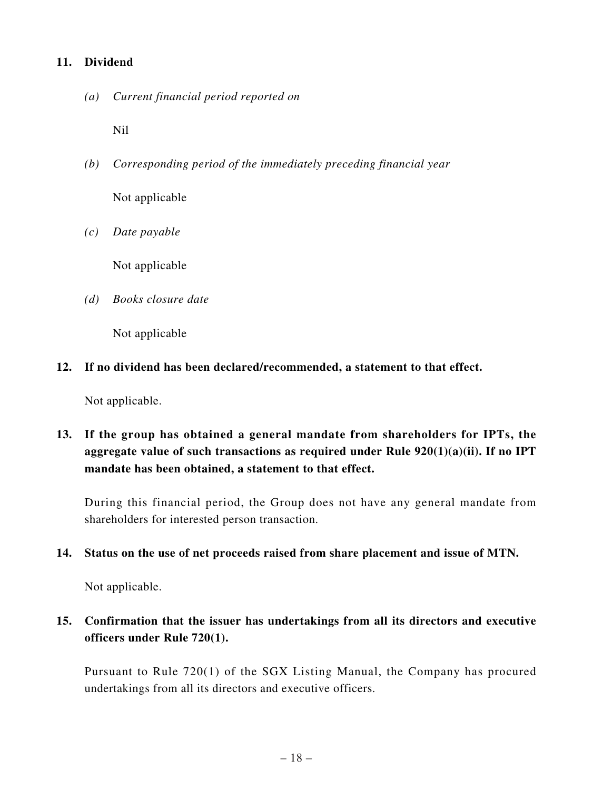### **11. Dividend**

*(a) Current financial period reported on*

Nil

- *(b) Corresponding period of the immediately preceding financial year* Not applicable
- *(c) Date payable*

Not applicable

*(d) Books closure date*

Not applicable

**12. If no dividend has been declared/recommended, a statement to that effect.**

Not applicable.

**13. If the group has obtained a general mandate from shareholders for IPTs, the aggregate value of such transactions as required under Rule 920(1)(a)(ii). If no IPT mandate has been obtained, a statement to that effect.**

During this financial period, the Group does not have any general mandate from shareholders for interested person transaction.

#### **14. Status on the use of net proceeds raised from share placement and issue of MTN.**

Not applicable.

# **15. Confirmation that the issuer has undertakings from all its directors and executive officers under Rule 720(1).**

Pursuant to Rule 720(1) of the SGX Listing Manual, the Company has procured undertakings from all its directors and executive officers.